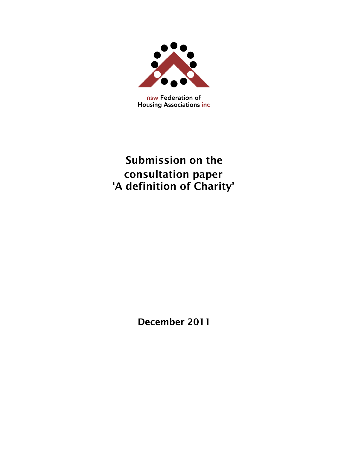

nsw Federation of **Housing Associations inc** 

# **Submission on the consultation paper 'A definition of Charity'**

**December 2011**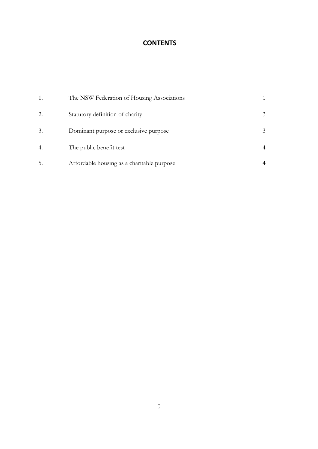## **CONTENTS**

| 1. | The NSW Federation of Housing Associations |                |
|----|--------------------------------------------|----------------|
| 2. | Statutory definition of charity            | 3              |
| 3. | Dominant purpose or exclusive purpose      | 3              |
| 4. | The public benefit test                    | $\overline{4}$ |
| 5. | Affordable housing as a charitable purpose |                |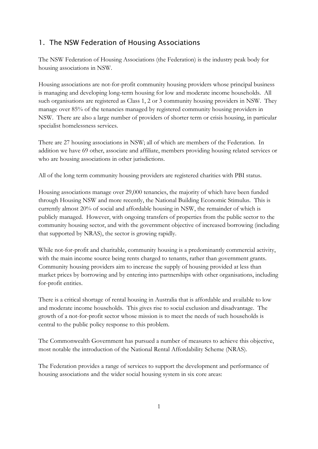## 1. The NSW Federation of Housing Associations

The NSW Federation of Housing Associations (the Federation) is the industry peak body for housing associations in NSW.

Housing associations are not-for-profit community housing providers whose principal business is managing and developing long-term housing for low and moderate income households. All such organisations are registered as Class 1, 2 or 3 community housing providers in NSW. They manage over 85% of the tenancies managed by registered community housing providers in NSW. There are also a large number of providers of shorter term or crisis housing, in particular specialist homelessness services.

There are 27 housing associations in NSW; all of which are members of the Federation. In addition we have 69 other, associate and affiliate, members providing housing related services or who are housing associations in other jurisdictions.

All of the long term community housing providers are registered charities with PBI status.

Housing associations manage over 29,000 tenancies, the majority of which have been funded through Housing NSW and more recently, the National Building Economic Stimulus. This is currently almost 20% of social and affordable housing in NSW, the remainder of which is publicly managed. However, with ongoing transfers of properties from the public sector to the community housing sector, and with the government objective of increased borrowing (including that supported by NRAS), the sector is growing rapidly.

While not-for-profit and charitable, community housing is a predominantly commercial activity, with the main income source being rents charged to tenants, rather than government grants. Community housing providers aim to increase the supply of housing provided at less than market prices by borrowing and by entering into partnerships with other organisations, including for-profit entities.

There is a critical shortage of rental housing in Australia that is affordable and available to low and moderate income households. This gives rise to social exclusion and disadvantage. The growth of a not-for-profit sector whose mission is to meet the needs of such households is central to the public policy response to this problem.

The Commonwealth Government has pursued a number of measures to achieve this objective, most notable the introduction of the National Rental Affordability Scheme (NRAS).

The Federation provides a range of services to support the development and performance of housing associations and the wider social housing system in six core areas: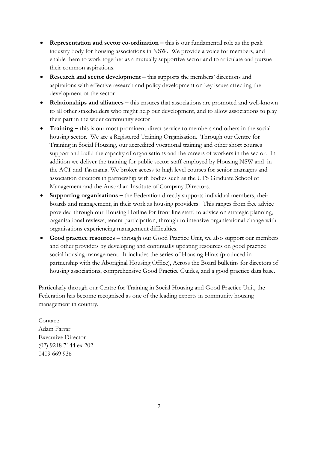- **Representation and sector co-ordination this is our fundamental role as the peak** industry body for housing associations in NSW. We provide a voice for members, and enable them to work together as a mutually supportive sector and to articulate and pursue their common aspirations.
- **Research and sector development –** this supports the members' directions and aspirations with effective research and policy development on key issues affecting the development of the sector
- **Relationships and alliances –** this ensures that associations are promoted and well-known to all other stakeholders who might help our development, and to allow associations to play their part in the wider community sector
- **Training –** this is our most prominent direct service to members and others in the social housing sector. We are a Registered Training Organisation. Through our Centre for Training in Social Housing, our accredited vocational training and other short courses support and build the capacity of organisations and the careers of workers in the sector. In addition we deliver the training for public sector staff employed by Housing NSW and in the ACT and Tasmania. We broker access to high level courses for senior managers and association directors in partnership with bodies such as the UTS Graduate School of Management and the Australian Institute of Company Directors.
- Supporting organisations the Federation directly supports individual members, their boards and management, in their work as housing providers. This ranges from free advice provided through our Housing Hotline for front line staff, to advice on strategic planning, organisational reviews, tenant participation, through to intensive organisational change with organisations experiencing management difficulties.
- **Good practice resources** through our Good Practice Unit, we also support our members and other providers by developing and continually updating resources on good practice social housing management. It includes the series of Housing Hints (produced in partnership with the Aboriginal Housing Office), Across the Board bulletins for directors of housing associations, comprehensive Good Practice Guides, and a good practice data base.

Particularly through our Centre for Training in Social Housing and Good Practice Unit, the Federation has become recognised as one of the leading experts in community housing management in country.

Contact: Adam Farrar Executive Director (02) 9218 7144 ex 202 0409 669 936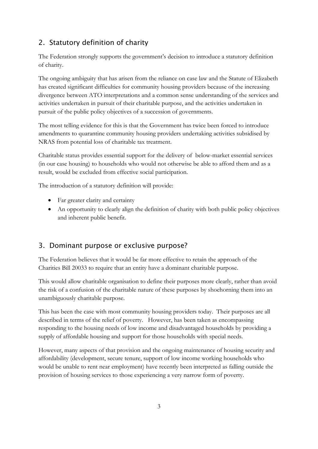# 2. Statutory definition of charity

The Federation strongly supports the government's decision to introduce a statutory definition of charity.

The ongoing ambiguity that has arisen from the reliance on case law and the Statute of Elizabeth has created significant difficulties for community housing providers because of the increasing divergence between ATO interpretations and a common sense understanding of the services and activities undertaken in pursuit of their charitable purpose, and the activities undertaken in pursuit of the public policy objectives of a succession of governments.

The most telling evidence for this is that the Government has twice been forced to introduce amendments to quarantine community housing providers undertaking activities subsidised by NRAS from potential loss of charitable tax treatment.

Charitable status provides essential support for the delivery of below-market essential services (in our case housing) to households who would not otherwise be able to afford them and as a result, would be excluded from effective social participation.

The introduction of a statutory definition will provide:

- Far greater clarity and certainty
- An opportunity to clearly align the definition of charity with both public policy objectives and inherent public benefit.

# 3. Dominant purpose or exclusive purpose?

The Federation believes that it would be far more effective to retain the approach of the Charities Bill 20033 to require that an entity have a dominant charitable purpose.

This would allow charitable organisation to define their purposes more clearly, rather than avoid the risk of a confusion of the charitable nature of these purposes by shoehorning them into an unambiguously charitable purpose.

This has been the case with most community housing providers today. Their purposes are all described in terms of the relief of poverty. However, has been taken as encompassing responding to the housing needs of low income and disadvantaged households by providing a supply of affordable housing and support for those households with special needs.

However, many aspects of that provision and the ongoing maintenance of housing security and affordability (development, secure tenure, support of low income working households who would be unable to rent near employment) have recently been interpreted as falling outside the provision of housing services to those experiencing a very narrow form of poverty.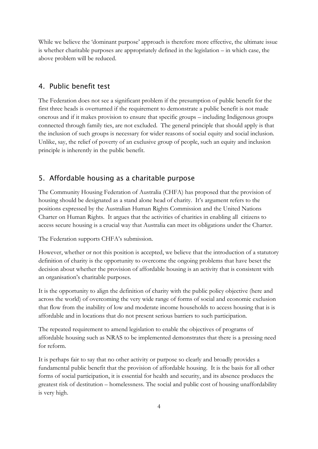While we believe the 'dominant purpose' approach is therefore more effective, the ultimate issue is whether charitable purposes are appropriately defined in the legislation – in which case, the above problem will be reduced.

### 4. Public benefit test

The Federation does not see a significant problem if the presumption of public benefit for the first three heads is overturned if the requirement to demonstrate a public benefit is not made onerous and if it makes provision to ensure that specific groups – including Indigenous groups connected through family ties, are not excluded. The general principle that should apply is that the inclusion of such groups is necessary for wider reasons of social equity and social inclusion. Unlike, say, the relief of poverty of an exclusive group of people, such an equity and inclusion principle is inherently in the public benefit.

### 5. Affordable housing as a charitable purpose

The Community Housing Federation of Australia (CHFA) has proposed that the provision of housing should be designated as a stand alone head of charity. It's argument refers to the positions expressed by the Australian Human Rights Commission and the United Nations Charter on Human Rights. It argues that the activities of charities in enabling all citizens to access secure housing is a crucial way that Australia can meet its obligations under the Charter.

The Federation supports CHFA's submission.

However, whether or not this position is accepted, we believe that the introduction of a statutory definition of charity is the opportunity to overcome the ongoing problems that have beset the decision about whether the provision of affordable housing is an activity that is consistent with an organisation's charitable purposes.

It is the opportunity to align the definition of charity with the public policy objective (here and across the world) of overcoming the very wide range of forms of social and economic exclusion that flow from the inability of low and moderate income households to access housing that is is affordable and in locations that do not present serious barriers to such participation.

The repeated requirement to amend legislation to enable the objectives of programs of affordable housing such as NRAS to be implemented demonstrates that there is a pressing need for reform.

It is perhaps fair to say that no other activity or purpose so clearly and broadly provides a fundamental public benefit that the provision of affordable housing. It is the basis for all other forms of social participation, it is essential for health and security, and its absence produces the greatest risk of destitution – homelessness. The social and public cost of housing unaffordability is very high.